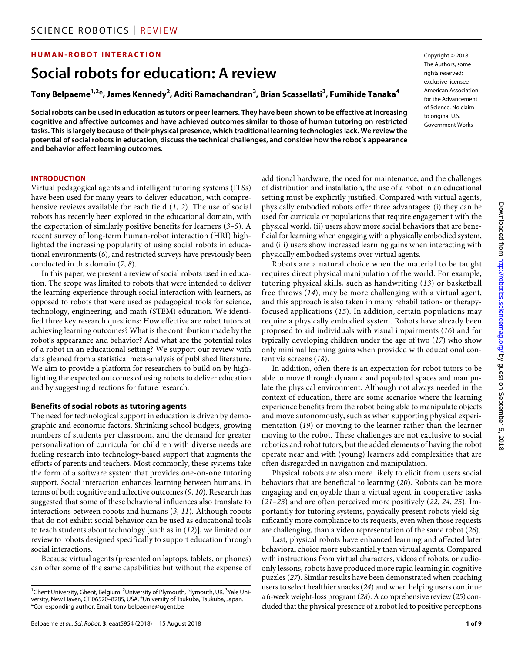#### **HUMAN-ROBOT INTERACTION**

## **Social robots for education: A review**

**Tony Belpaeme1,2\*, James Kennedy2 , Aditi Ramachandran3 , Brian Scassellati3 , Fumihide Tanaka4**

**Social robots can be used in education as tutors or peer learners. They have been shown to be effective at increasing cognitive and affective outcomes and have achieved outcomes similar to those of human tutoring on restricted tasks. This is largely because of their physical presence, which traditional learning technologies lack. We review the potential of social robots in education, discuss the technical challenges, and consider how the robot's appearance and behavior affect learning outcomes.**

#### **INTRODUCTION**

Virtual pedagogical agents and intelligent tutoring systems (ITSs) have been used for many years to deliver education, with comprehensive reviews available for each field (*1*, *2*). The use of social robots has recently been explored in the educational domain, with the expectation of similarly positive benefits for learners (*3*–*5*). A recent survey of long-term human-robot interaction (HRI) highlighted the increasing popularity of using social robots in educational environments (*6*), and restricted surveys have previously been conducted in this domain (*7*, *8*).

In this paper, we present a review of social robots used in education. The scope was limited to robots that were intended to deliver the learning experience through social interaction with learners, as opposed to robots that were used as pedagogical tools for science, technology, engineering, and math (STEM) education. We identified three key research questions: How effective are robot tutors at achieving learning outcomes? What is the contribution made by the robot's appearance and behavior? And what are the potential roles of a robot in an educational setting? We support our review with data gleaned from a statistical meta-analysis of published literature. We aim to provide a platform for researchers to build on by highlighting the expected outcomes of using robots to deliver education and by suggesting directions for future research.

#### **Benefits of social robots as tutoring agents**

The need for technological support in education is driven by demographic and economic factors. Shrinking school budgets, growing numbers of students per classroom, and the demand for greater personalization of curricula for children with diverse needs are fueling research into technology-based support that augments the efforts of parents and teachers. Most commonly, these systems take the form of a software system that provides one-on-one tutoring support. Social interaction enhances learning between humans, in terms of both cognitive and affective outcomes (*9*, *10*). Research has suggested that some of these behavioral influences also translate to interactions between robots and humans (*3*, *11*). Although robots that do not exhibit social behavior can be used as educational tools to teach students about technology [such as in (*12*)], we limited our review to robots designed specifically to support education through social interactions.

Because virtual agents (presented on laptops, tablets, or phones) can offer some of the same capabilities but without the expense of

additional hardware, the need for maintenance, and the challenges of distribution and installation, the use of a robot in an educational setting must be explicitly justified. Compared with virtual agents, physically embodied robots offer three advantages: (i) they can be used for curricula or populations that require engagement with the physical world, (ii) users show more social behaviors that are beneficial for learning when engaging with a physically embodied system, and (iii) users show increased learning gains when interacting with physically embodied systems over virtual agents.

Robots are a natural choice when the material to be taught requires direct physical manipulation of the world. For example, tutoring physical skills, such as handwriting (*13*) or basketball free throws (*14*), may be more challenging with a virtual agent, and this approach is also taken in many rehabilitation- or therapyfocused applications (*15*). In addition, certain populations may require a physically embodied system. Robots have already been proposed to aid individuals with visual impairments (*16*) and for typically developing children under the age of two (*17*) who show only minimal learning gains when provided with educational content via screens (*18*).

In addition, often there is an expectation for robot tutors to be able to move through dynamic and populated spaces and manipulate the physical environment. Although not always needed in the context of education, there are some scenarios where the learning experience benefits from the robot being able to manipulate objects and move autonomously, such as when supporting physical experimentation (*19*) or moving to the learner rather than the learner moving to the robot. These challenges are not exclusive to social robotics and robot tutors, but the added elements of having the robot operate near and with (young) learners add complexities that are often disregarded in navigation and manipulation.

Physical robots are also more likely to elicit from users social behaviors that are beneficial to learning (*20*). Robots can be more engaging and enjoyable than a virtual agent in cooperative tasks (*21*–*23*) and are often perceived more positively (*22*, *24*, *25*). Importantly for tutoring systems, physically present robots yield significantly more compliance to its requests, even when those requests are challenging, than a video representation of the same robot (*26*).

Last, physical robots have enhanced learning and affected later behavioral choice more substantially than virtual agents. Compared with instructions from virtual characters, videos of robots, or audioonly lessons, robots have produced more rapid learning in cognitive puzzles (*27*). Similar results have been demonstrated when coaching users to select healthier snacks (*24*) and when helping users continue a 6-week weight-loss program (*28*). A comprehensive review (*25*) concluded that the physical presence of a robot led to positive perceptions

Copyright © 2018

<sup>&</sup>lt;sup>1</sup>Ghent University, Ghent, Belgium. <sup>2</sup>University of Plymouth, Plymouth, UK. <sup>3</sup>Yale University, New Haven, CT 06520–8285, USA. <sup>4</sup>University of Tsukuba, Tsukuba, Japan. \*Corresponding author. Email: tony.belpaeme@ugent.be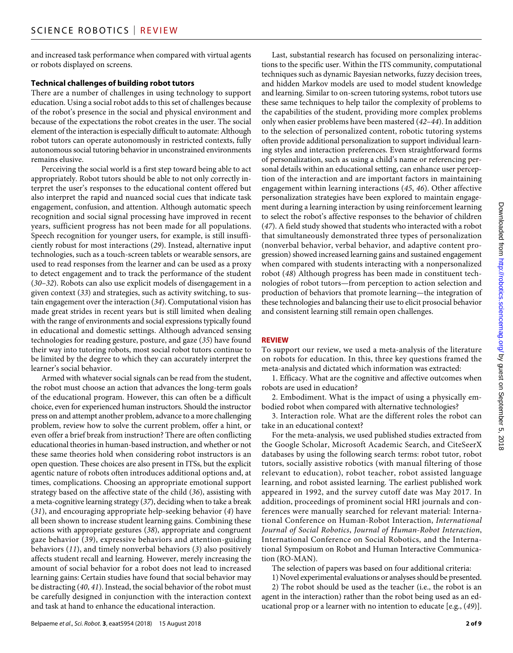and increased task performance when compared with virtual agents or robots displayed on screens.

#### **Technical challenges of building robot tutors**

There are a number of challenges in using technology to support education. Using a social robot adds to this set of challenges because of the robot's presence in the social and physical environment and because of the expectations the robot creates in the user. The social element of the interaction is especially difficult to automate: Although robot tutors can operate autonomously in restricted contexts, fully autonomous social tutoring behavior in unconstrained environments remains elusive.

Perceiving the social world is a first step toward being able to act appropriately. Robot tutors should be able to not only correctly interpret the user's responses to the educational content offered but also interpret the rapid and nuanced social cues that indicate task engagement, confusion, and attention. Although automatic speech recognition and social signal processing have improved in recent years, sufficient progress has not been made for all populations. Speech recognition for younger users, for example, is still insufficiently robust for most interactions (*29*). Instead, alternative input technologies, such as a touch-screen tablets or wearable sensors, are used to read responses from the learner and can be used as a proxy to detect engagement and to track the performance of the student (*30*–*32*). Robots can also use explicit models of disengagement in a given context (*33*) and strategies, such as activity switching, to sustain engagement over the interaction (*34*). Computational vision has made great strides in recent years but is still limited when dealing with the range of environments and social expressions typically found in educational and domestic settings. Although advanced sensing technologies for reading gesture, posture, and gaze (*35*) have found their way into tutoring robots, most social robot tutors continue to be limited by the degree to which they can accurately interpret the learner's social behavior.

Armed with whatever social signals can be read from the student, the robot must choose an action that advances the long-term goals of the educational program. However, this can often be a difficult choice, even for experienced human instructors. Should the instructor press on and attempt another problem, advance to a more challenging problem, review how to solve the current problem, offer a hint, or even offer a brief break from instruction? There are often conflicting educational theories in human-based instruction, and whether or not these same theories hold when considering robot instructors is an open question. These choices are also present in ITSs, but the explicit agentic nature of robots often introduces additional options and, at times, complications. Choosing an appropriate emotional support strategy based on the affective state of the child (*36*), assisting with a meta-cognitive learning strategy (*37*), deciding when to take a break (*31*), and encouraging appropriate help-seeking behavior (*4*) have all been shown to increase student learning gains. Combining these actions with appropriate gestures (*38*), appropriate and congruent gaze behavior (*39*), expressive behaviors and attention-guiding behaviors (*11*), and timely nonverbal behaviors (*3*) also positively affects student recall and learning. However, merely increasing the amount of social behavior for a robot does not lead to increased learning gains: Certain studies have found that social behavior may be distracting (*40*, *41*). Instead, the social behavior of the robot must be carefully designed in conjunction with the interaction context and task at hand to enhance the educational interaction.

Last, substantial research has focused on personalizing interactions to the specific user. Within the ITS community, computational techniques such as dynamic Bayesian networks, fuzzy decision trees, and hidden Markov models are used to model student knowledge and learning. Similar to on-screen tutoring systems, robot tutors use these same techniques to help tailor the complexity of problems to the capabilities of the student, providing more complex problems only when easier problems have been mastered (*42*–*44*). In addition to the selection of personalized content, robotic tutoring systems often provide additional personalization to support individual learning styles and interaction preferences. Even straightforward forms of personalization, such as using a child's name or referencing personal details within an educational setting, can enhance user perception of the interaction and are important factors in maintaining engagement within learning interactions (*45*, *46*). Other affective personalization strategies have been explored to maintain engagement during a learning interaction by using reinforcement learning to select the robot's affective responses to the behavior of children (*47*). A field study showed that students who interacted with a robot that simultaneously demonstrated three types of personalization (nonverbal behavior, verbal behavior, and adaptive content progression) showed increased learning gains and sustained engagement when compared with students interacting with a nonpersonalized robot (*48*) Although progress has been made in constituent technologies of robot tutors—from perception to action selection and production of behaviors that promote learning—the integration of these technologies and balancing their use to elicit prosocial behavior and consistent learning still remain open challenges.

#### **REVIEW**

To support our review, we used a meta-analysis of the literature on robots for education. In this, three key questions framed the meta-analysis and dictated which information was extracted:

1. Efficacy. What are the cognitive and affective outcomes when robots are used in education?

2. Embodiment. What is the impact of using a physically embodied robot when compared with alternative technologies?

3. Interaction role. What are the different roles the robot can take in an educational context?

For the meta-analysis, we used published studies extracted from the Google Scholar, Microsoft Academic Search, and CiteSeerX databases by using the following search terms: robot tutor, robot tutors, socially assistive robotics (with manual filtering of those relevant to education), robot teacher, robot assisted language learning, and robot assisted learning. The earliest published work appeared in 1992, and the survey cutoff date was May 2017. In addition, proceedings of prominent social HRI journals and conferences were manually searched for relevant material: International Conference on Human-Robot Interaction, *International Journal of Social Robotics*, *Journal of Human-Robot Interaction*, International Conference on Social Robotics, and the International Symposium on Robot and Human Interactive Communication (RO-MAN).

The selection of papers was based on four additional criteria:

1) Novel experimental evaluations or analyses should be presented. 2) The robot should be used as the teacher (i.e., the robot is an agent in the interaction) rather than the robot being used as an educational prop or a learner with no intention to educate [e.g., (*49*)].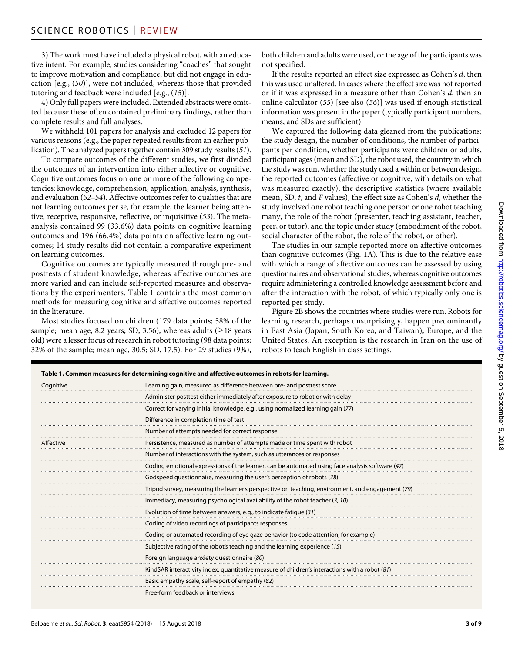3) The work must have included a physical robot, with an educative intent. For example, studies considering "coaches" that sought to improve motivation and compliance, but did not engage in education [e.g., (*50*)], were not included, whereas those that provided tutoring and feedback were included [e.g., (*15*)].

4) Only full papers were included. Extended abstracts were omitted because these often contained preliminary findings, rather than complete results and full analyses.

We withheld 101 papers for analysis and excluded 12 papers for various reasons (e.g., the paper repeated results from an earlier publication). The analyzed papers together contain 309 study results (*51*).

To compare outcomes of the different studies, we first divided the outcomes of an intervention into either affective or cognitive. Cognitive outcomes focus on one or more of the following competencies: knowledge, comprehension, application, analysis, synthesis, and evaluation (*52*–*54*). Affective outcomes refer to qualities that are not learning outcomes per se, for example, the learner being attentive, receptive, responsive, reflective, or inquisitive (*53*). The metaanalysis contained 99 (33.6%) data points on cognitive learning outcomes and 196 (66.4%) data points on affective learning outcomes; 14 study results did not contain a comparative experiment on learning outcomes.

Cognitive outcomes are typically measured through pre- and posttests of student knowledge, whereas affective outcomes are more varied and can include self-reported measures and observations by the experimenters. Table 1 contains the most common methods for measuring cognitive and affective outcomes reported in the literature.

Most studies focused on children (179 data points; 58% of the sample; mean age, 8.2 years; SD, 3.56), whereas adults  $(\geq 18$  years old) were a lesser focus of research in robot tutoring (98 data points; 32% of the sample; mean age, 30.5; SD, 17.5). For 29 studies (9%),

both children and adults were used, or the age of the participants was not specified.

If the results reported an effect size expressed as Cohen's *d*, then this was used unaltered. In cases where the effect size was not reported or if it was expressed in a measure other than Cohen's *d*, then an online calculator (*55*) [see also (*56*)] was used if enough statistical information was present in the paper (typically participant numbers, means, and SDs are sufficient).

We captured the following data gleaned from the publications: the study design, the number of conditions, the number of participants per condition, whether participants were children or adults, participant ages (mean and SD), the robot used, the country in which the study was run, whether the study used a within or between design, the reported outcomes (affective or cognitive, with details on what was measured exactly), the descriptive statistics (where available mean, SD, *t*, and *F* values), the effect size as Cohen's *d*, whether the study involved one robot teaching one person or one robot teaching many, the role of the robot (presenter, teaching assistant, teacher, peer, or tutor), and the topic under study (embodiment of the robot, social character of the robot, the role of the robot, or other).

The studies in our sample reported more on affective outcomes than cognitive outcomes (Fig. 1A). This is due to the relative ease with which a range of affective outcomes can be assessed by using questionnaires and observational studies, whereas cognitive outcomes require administering a controlled knowledge assessment before and after the interaction with the robot, of which typically only one is reported per study.

Figure 2B shows the countries where studies were run. Robots for learning research, perhaps unsurprisingly, happen predominantly in East Asia (Japan, South Korea, and Taiwan), Europe, and the United States. An exception is the research in Iran on the use of robots to teach English in class settings.

|           | Table 1. Common measures for determining cognitive and affective outcomes in robots for learning. |
|-----------|---------------------------------------------------------------------------------------------------|
| Cognitive | Learning gain, measured as difference between pre- and posttest score                             |
|           | Administer posttest either immediately after exposure to robot or with delay                      |
|           | Correct for varying initial knowledge, e.g., using normalized learning gain (77)                  |
|           | Difference in completion time of test                                                             |
|           | Number of attempts needed for correct response                                                    |
| Affective | Persistence, measured as number of attempts made or time spent with robot                         |
|           | Number of interactions with the system, such as utterances or responses                           |
|           | Coding emotional expressions of the learner, can be automated using face analysis software (47)   |
|           | Godspeed questionnaire, measuring the user's perception of robots (78)                            |
|           | Tripod survey, measuring the learner's perspective on teaching, environment, and engagement (79)  |
|           | Immediacy, measuring psychological availability of the robot teacher (3, 10)                      |
|           | Evolution of time between answers, e.g., to indicate fatique (31)                                 |
|           | Coding of video recordings of participants responses                                              |
|           | Coding or automated recording of eye gaze behavior (to code attention, for example)               |
|           | Subjective rating of the robot's teaching and the learning experience (15)                        |
|           | Foreign language anxiety questionnaire (80)                                                       |
|           | KindSAR interactivity index, quantitative measure of children's interactions with a robot (81)    |
|           | Basic empathy scale, self-report of empathy (82)                                                  |
|           | Free-form feedback or interviews                                                                  |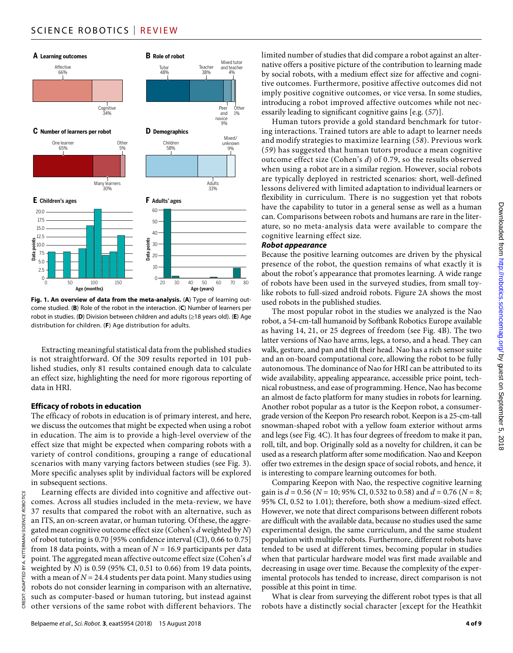### SCIENCE ROBOTICS | REVIEW



**Fig. 1. An overview of data from the meta-analysis.** (**A**) Type of learning outcome studied. (**B**) Role of the robot in the interaction. (**C**) Number of learners per robot in studies. (**D**) Division between children and adults (≥18 years old). (**E**) Age distribution for children. (**F**) Age distribution for adults.

Extracting meaningful statistical data from the published studies is not straightforward. Of the 309 results reported in 101 published studies, only 81 results contained enough data to calculate an effect size, highlighting the need for more rigorous reporting of data in HRI.

#### **Efficacy of robots in education**

The efficacy of robots in education is of primary interest, and here, we discuss the outcomes that might be expected when using a robot in education. The aim is to provide a high-level overview of the effect size that might be expected when comparing robots with a variety of control conditions, grouping a range of educational scenarios with many varying factors between studies (see Fig. 3). More specific analyses split by individual factors will be explored in subsequent sections.

Learning effects are divided into cognitive and affective outcomes. Across all studies included in the meta-review, we have 37 results that compared the robot with an alternative, such as an ITS, an on-screen avatar, or human tutoring. Of these, the aggregated mean cognitive outcome effect size (Cohen's *d* weighted by *N*) of robot tutoring is 0.70 [95% confidence interval (CI), 0.66 to 0.75] from 18 data points, with a mean of  $N = 16.9$  participants per data point. The aggregated mean affective outcome effect size (Cohen's *d* weighted by *N*) is 0.59 (95% CI, 0.51 to 0.66) from 19 data points, with a mean of  $N = 24.4$  students per data point. Many studies using robots do not consider learning in comparison with an alternative, such as computer-based or human tutoring, but instead against other versions of the same robot with different behaviors. The

limited number of studies that did compare a robot against an alternative offers a positive picture of the contribution to learning made by social robots, with a medium effect size for affective and cognitive outcomes. Furthermore, positive affective outcomes did not imply positive cognitive outcomes, or vice versa. In some studies, introducing a robot improved affective outcomes while not necessarily leading to significant cognitive gains [e.g. (*57*)].

Human tutors provide a gold standard benchmark for tutoring interactions. Trained tutors are able to adapt to learner needs and modify strategies to maximize learning (*58*). Previous work (*59*) has suggested that human tutors produce a mean cognitive outcome effect size (Cohen's *d*) of 0.79, so the results observed when using a robot are in a similar region. However, social robots are typically deployed in restricted scenarios: short, well-defined lessons delivered with limited adaptation to individual learners or flexibility in curriculum. There is no suggestion yet that robots have the capability to tutor in a general sense as well as a human can. Comparisons between robots and humans are rare in the literature, so no meta-analysis data were available to compare the cognitive learning effect size.

#### *Robot appearance*

Because the positive learning outcomes are driven by the physical presence of the robot, the question remains of what exactly it is about the robot's appearance that promotes learning. A wide range of robots have been used in the surveyed studies, from small toylike robots to full-sized android robots. Figure 2A shows the most used robots in the published studies.

The most popular robot in the studies we analyzed is the Nao robot, a 54-cm-tall humanoid by Softbank Robotics Europe available as having 14, 21, or 25 degrees of freedom (see Fig. 4B). The two latter versions of Nao have arms, legs, a torso, and a head. They can walk, gesture, and pan and tilt their head. Nao has a rich sensor suite and an on-board computational core, allowing the robot to be fully autonomous. The dominance of Nao for HRI can be attributed to its wide availability, appealing appearance, accessible price point, technical robustness, and ease of programming. Hence, Nao has become an almost de facto platform for many studies in robots for learning. Another robot popular as a tutor is the Keepon robot, a consumergrade version of the Keepon Pro research robot. Keepon is a 25-cm-tall snowman-shaped robot with a yellow foam exterior without arms and legs (see Fig. 4C). It has four degrees of freedom to make it pan, roll, tilt, and bop. Originally sold as a novelty for children, it can be used as a research platform after some modification. Nao and Keepon offer two extremes in the design space of social robots, and hence, it is interesting to compare learning outcomes for both.

Comparing Keepon with Nao, the respective cognitive learning gain is *d* = 0.56 (*N* = 10; 95% CI, 0.532 to 0.58) and *d* = 0.76 (*N* = 8; 95% CI, 0.52 to 1.01); therefore, both show a medium-sized effect. However, we note that direct comparisons between different robots are difficult with the available data, because no studies used the same experimental design, the same curriculum, and the same student population with multiple robots. Furthermore, different robots have tended to be used at different times, becoming popular in studies when that particular hardware model was first made available and decreasing in usage over time. Because the complexity of the experimental protocols has tended to increase, direct comparison is not possible at this point in time.

What is clear from surveying the different robot types is that all robots have a distinctly social character [except for the Heathkit

CREDIT: ADAPTED BY A. KITTERMAN/SCIENCE ROBOTICS

ADAPTED

**REDIT** 

BY A. KITTERMAN/SCIENCE

ROBOTICS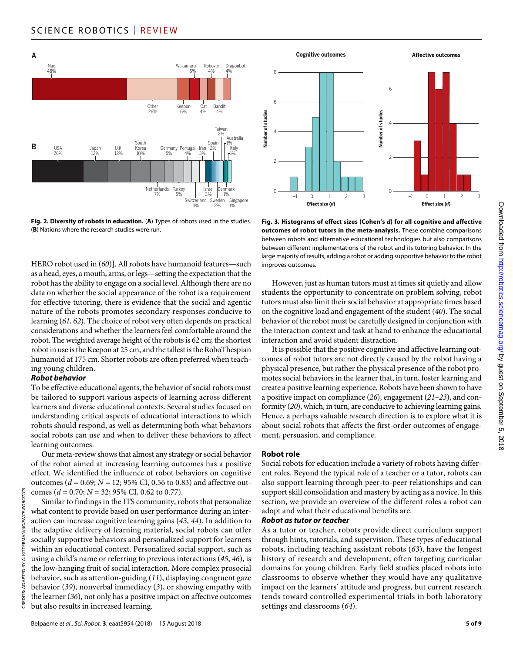

**Fig. 2. Diversity of robots in education.** (**A**) Types of robots used in the studies. (**B**) Nations where the research studies were run.

HERO robot used in (*60*)]. All robots have humanoid features—such as a head, eyes, a mouth, arms, or legs—setting the expectation that the robot has the ability to engage on a social level. Although there are no data on whether the social appearance of the robot is a requirement for effective tutoring, there is evidence that the social and agentic nature of the robots promotes secondary responses conducive to learning (*61*, *62*). The choice of robot very often depends on practical considerations and whether the learners feel comfortable around the robot. The weighted average height of the robots is 62 cm; the shortest robot in use is the Keepon at 25 cm, and the tallest is the RoboThespian humanoid at 175 cm. Shorter robots are often preferred when teaching young children.

#### *Robot behavior*

CREDITS: ADAPTED BY A. KITTERMAN/SCIENCE ROBOTICS

ADAPTED BY A.

CREDITS

KITTERMAN/SCIENCE ROBOTICS

To be effective educational agents, the behavior of social robots must be tailored to support various aspects of learning across different learners and diverse educational contexts. Several studies focused on understanding critical aspects of educational interactions to which robots should respond, as well as determining both what behaviors social robots can use and when to deliver these behaviors to affect learning outcomes.

Our meta-review shows that almost any strategy or social behavior of the robot aimed at increasing learning outcomes has a positive effect. We identified the influence of robot behaviors on cognitive outcomes (*d* = 0.69; *N* = 12; 95% CI, 0.56 to 0.83) and affective outcomes (*d* = 0.70; *N* = 32; 95% CI, 0.62 to 0.77).

Similar to findings in the ITS community, robots that personalize what content to provide based on user performance during an interaction can increase cognitive learning gains (*43*, *44*). In addition to the adaptive delivery of learning material, social robots can offer socially supportive behaviors and personalized support for learners within an educational context. Personalized social support, such as using a child's name or referring to previous interactions (*45*, *46*), is the low-hanging fruit of social interaction. More complex prosocial behavior, such as attention-guiding (*11*), displaying congruent gaze behavior (*39*), nonverbal immediacy (*3*), or showing empathy with the learner (*36*), not only has a positive impact on affective outcomes but also results in increased learning.



**Fig. 3. Histograms of effect sizes (Cohen's** *d***) for all cognitive and affective outcomes of robot tutors in the meta-analysis.** These combine comparisons between robots and alternative educational technologies but also comparisons between different implementations of the robot and its tutoring behavior. In the large majority of results, adding a robot or adding supportive behavior to the robot improves outcomes.

However, just as human tutors must at times sit quietly and allow students the opportunity to concentrate on problem solving, robot tutors must also limit their social behavior at appropriate times based on the cognitive load and engagement of the student (*40*). The social behavior of the robot must be carefully designed in conjunction with the interaction context and task at hand to enhance the educational interaction and avoid student distraction.

It is possible that the positive cognitive and affective learning outcomes of robot tutors are not directly caused by the robot having a physical presence, but rather the physical presence of the robot promotes social behaviors in the learner that, in turn, foster learning and create a positive learning experience. Robots have been shown to have a positive impact on compliance (*26*), engagement (*21*–*23*), and conformity (*20*), which, in turn, are conducive to achieving learning gains. Hence, a perhaps valuable research direction is to explore what it is about social robots that affects the first-order outcomes of engagement, persuasion, and compliance.

#### **Robot role**

Social robots for education include a variety of robots having different roles. Beyond the typical role of a teacher or a tutor, robots can also support learning through peer-to-peer relationships and can support skill consolidation and mastery by acting as a novice. In this section, we provide an overview of the different roles a robot can adopt and what their educational benefits are.

#### *Robot as tutor or teacher*

As a tutor or teacher, robots provide direct curriculum support through hints, tutorials, and supervision. These types of educational robots, including teaching assistant robots (*63*), have the longest history of research and development, often targeting curricular domains for young children. Early field studies placed robots into classrooms to observe whether they would have any qualitative impact on the learners' attitude and progress, but current research tends toward controlled experimental trials in both laboratory settings and classrooms (*64*).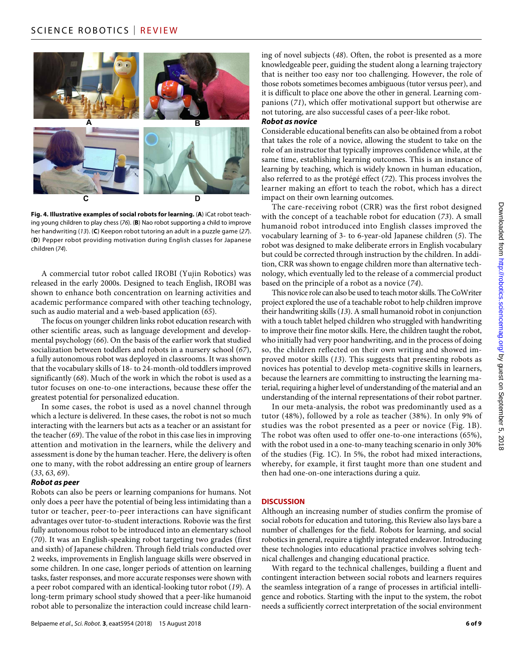

**Fig. 4. Illustrative examples of social robots for learning.** (**A**) iCat robot teaching young children to play chess (*76*). (**B**) Nao robot supporting a child to improve her handwriting (*13*). (**C**) Keepon robot tutoring an adult in a puzzle game (*27*). (**D**) Pepper robot providing motivation during English classes for Japanese children (*74*).

A commercial tutor robot called IROBI (Yujin Robotics) was released in the early 2000s. Designed to teach English, IROBI was shown to enhance both concentration on learning activities and academic performance compared with other teaching technology, such as audio material and a web-based application (*65*).

The focus on younger children links robot education research with other scientific areas, such as language development and developmental psychology (*66*). On the basis of the earlier work that studied socialization between toddlers and robots in a nursery school (*67*), a fully autonomous robot was deployed in classrooms. It was shown that the vocabulary skills of 18- to 24-month-old toddlers improved significantly (*68*). Much of the work in which the robot is used as a tutor focuses on one-to-one interactions, because these offer the greatest potential for personalized education.

In some cases, the robot is used as a novel channel through which a lecture is delivered. In these cases, the robot is not so much interacting with the learners but acts as a teacher or an assistant for the teacher (*69*). The value of the robot in this case lies in improving attention and motivation in the learners, while the delivery and assessment is done by the human teacher. Here, the delivery is often one to many, with the robot addressing an entire group of learners (*33*, *63*, *69*).

#### *Robot as peer*

Robots can also be peers or learning companions for humans. Not only does a peer have the potential of being less intimidating than a tutor or teacher, peer-to-peer interactions can have significant advantages over tutor-to-student interactions. Robovie was the first fully autonomous robot to be introduced into an elementary school (*70*). It was an English-speaking robot targeting two grades (first and sixth) of Japanese children. Through field trials conducted over 2 weeks, improvements in English language skills were observed in some children. In one case, longer periods of attention on learning tasks, faster responses, and more accurate responses were shown with a peer robot compared with an identical-looking tutor robot (*19*). A long-term primary school study showed that a peer-like humanoid robot able to personalize the interaction could increase child learn-

ing of novel subjects (*48*). Often, the robot is presented as a more knowledgeable peer, guiding the student along a learning trajectory that is neither too easy nor too challenging. However, the role of those robots sometimes becomes ambiguous (tutor versus peer), and it is difficult to place one above the other in general. Learning companions (*71*), which offer motivational support but otherwise are not tutoring, are also successful cases of a peer-like robot.

#### *Robot as novice*

Considerable educational benefits can also be obtained from a robot that takes the role of a novice, allowing the student to take on the role of an instructor that typically improves confidence while, at the same time, establishing learning outcomes. This is an instance of learning by teaching, which is widely known in human education, also referred to as the protégé effect (*72*). This process involves the learner making an effort to teach the robot, which has a direct impact on their own learning outcomes.

The care-receiving robot (CRR) was the first robot designed with the concept of a teachable robot for education (*73*). A small humanoid robot introduced into English classes improved the vocabulary learning of 3- to 6-year-old Japanese children (*5*). The robot was designed to make deliberate errors in English vocabulary but could be corrected through instruction by the children. In addition, CRR was shown to engage children more than alternative technology, which eventually led to the release of a commercial product based on the principle of a robot as a novice (*74*).

This novice role can also be used to teach motor skills. The CoWriter project explored the use of a teachable robot to help children improve their handwriting skills (*13*). A small humanoid robot in conjunction with a touch tablet helped children who struggled with handwriting to improve their fine motor skills. Here, the children taught the robot, who initially had very poor handwriting, and in the process of doing so, the children reflected on their own writing and showed improved motor skills (*13*). This suggests that presenting robots as novices has potential to develop meta-cognitive skills in learners, because the learners are committing to instructing the learning material, requiring a higher level of understanding of the material and an understanding of the internal representations of their robot partner.

In our meta-analysis, the robot was predominantly used as a tutor (48%), followed by a role as teacher (38%). In only 9% of studies was the robot presented as a peer or novice (Fig. 1B). The robot was often used to offer one-to-one interactions (65%), with the robot used in a one-to-many teaching scenario in only 30% of the studies (Fig. 1C). In 5%, the robot had mixed interactions, whereby, for example, it first taught more than one student and then had one-on-one interactions during a quiz.

#### **DISCUSSION**

Although an increasing number of studies confirm the promise of social robots for education and tutoring, this Review also lays bare a number of challenges for the field. Robots for learning, and social robotics in general, require a tightly integrated endeavor. Introducing these technologies into educational practice involves solving technical challenges and changing educational practice.

With regard to the technical challenges, building a fluent and contingent interaction between social robots and learners requires the seamless integration of a range of processes in artificial intelligence and robotics. Starting with the input to the system, the robot needs a sufficiently correct interpretation of the social environment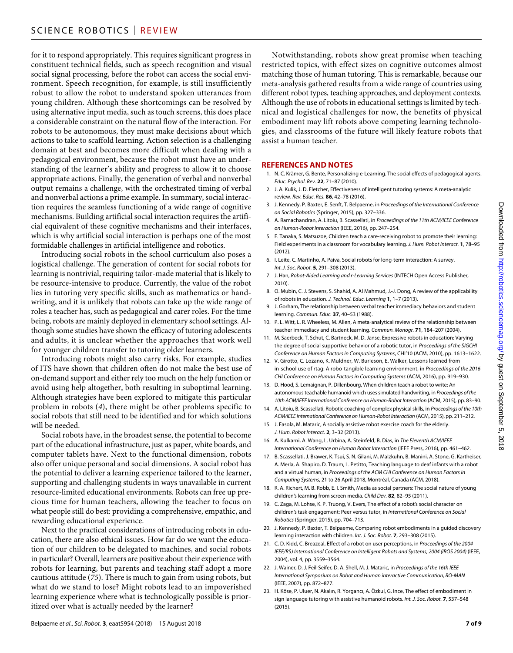for it to respond appropriately. This requires significant progress in constituent technical fields, such as speech recognition and visual social signal processing, before the robot can access the social environment. Speech recognition, for example, is still insufficiently robust to allow the robot to understand spoken utterances from young children. Although these shortcomings can be resolved by using alternative input media, such as touch screens, this does place a considerable constraint on the natural flow of the interaction. For robots to be autonomous, they must make decisions about which actions to take to scaffold learning. Action selection is a challenging domain at best and becomes more difficult when dealing with a pedagogical environment, because the robot must have an understanding of the learner's ability and progress to allow it to choose appropriate actions. Finally, the generation of verbal and nonverbal output remains a challenge, with the orchestrated timing of verbal and nonverbal actions a prime example. In summary, social interaction requires the seamless functioning of a wide range of cognitive mechanisms. Building artificial social interaction requires the artificial equivalent of these cognitive mechanisms and their interfaces, which is why artificial social interaction is perhaps one of the most formidable challenges in artificial intelligence and robotics.

Introducing social robots in the school curriculum also poses a logistical challenge. The generation of content for social robots for learning is nontrivial, requiring tailor-made material that is likely to be resource-intensive to produce. Currently, the value of the robot lies in tutoring very specific skills, such as mathematics or handwriting, and it is unlikely that robots can take up the wide range of roles a teacher has, such as pedagogical and carer roles. For the time being, robots are mainly deployed in elementary school settings. Although some studies have shown the efficacy of tutoring adolescents and adults, it is unclear whether the approaches that work well for younger children transfer to tutoring older learners.

Introducing robots might also carry risks. For example, studies of ITS have shown that children often do not make the best use of on-demand support and either rely too much on the help function or avoid using help altogether, both resulting in suboptimal learning. Although strategies have been explored to mitigate this particular problem in robots (*4*), there might be other problems specific to social robots that still need to be identified and for which solutions will be needed.

Social robots have, in the broadest sense, the potential to become part of the educational infrastructure, just as paper, white boards, and computer tablets have. Next to the functional dimension, robots also offer unique personal and social dimensions. A social robot has the potential to deliver a learning experience tailored to the learner, supporting and challenging students in ways unavailable in current resource-limited educational environments. Robots can free up precious time for human teachers, allowing the teacher to focus on what people still do best: providing a comprehensive, empathic, and rewarding educational experience.

Next to the practical considerations of introducing robots in education, there are also ethical issues. How far do we want the education of our children to be delegated to machines, and social robots in particular? Overall, learners are positive about their experience with robots for learning, but parents and teaching staff adopt a more cautious attitude (*75*). There is much to gain from using robots, but what do we stand to lose? Might robots lead to an impoverished learning experience where what is technologically possible is prioritized over what is actually needed by the learner?

Notwithstanding, robots show great promise when teaching restricted topics, with effect sizes on cognitive outcomes almost matching those of human tutoring. This is remarkable, because our meta-analysis gathered results from a wide range of countries using different robot types, teaching approaches, and deployment contexts. Although the use of robots in educational settings is limited by technical and logistical challenges for now, the benefits of physical embodiment may lift robots above competing learning technologies, and classrooms of the future will likely feature robots that assist a human teacher.

#### **REFERENCES AND NOTES**

- 1. N. C. Krämer, G. Bente, Personalizing e-Learning. The social effects of pedagogical agents. *Educ. Psychol. Rev.* **22**, 71–87 (2010).
- 2. J. A. Kulik, J. D. Fletcher, Effectiveness of intelligent tutoring systems: A meta-analytic review. *Rev. Educ. Res.* **86**, 42–78 (2016).
- 3. J. Kennedy, P. Baxter, E. Senft, T. Belpaeme, in *Proceedings of the International Conference on Social Robotics* (Springer, 2015), pp. 327–336.
- 4. A. Ramachandran, A. Litoiu, B. Scassellati, in *Proceedings of the 11th ACM/IEEE Conference on Human-Robot Interaction* (IEEE, 2016), pp. 247–254.
- 5. F. Tanaka, S. Matsuzoe, Children teach a care-receiving robot to promote their learning: Field experiments in a classroom for vocabulary learning. *J. Hum. Robot Interact.* **1**, 78–95 (2012).
- 6. I. Leite, C. Martinho, A. Paiva, Social robots for long-term interaction: A survey. *Int. J. Soc. Robot.* **5**, 291–308 (2013).
- 7. J. Han, *Robot-Aided Learning and r-Learning Services* (INTECH Open Access Publisher, 2010).
- 8. O. Mubin, C. J. Stevens, S. Shahid, A. Al Mahmud, J.-J. Dong, A review of the applicability of robots in education. *J. Technol. Educ. Learning* **1**, 1–7 (2013).
- 9. J. Gorham, The relationship between verbal teacher immediacy behaviors and student learning. *Commun. Educ.* **37**, 40–53 (1988).
- 10. P. L. Witt, L. R. Wheeless, M. Allen, A meta‐analytical review of the relationship between teacher immediacy and student learning. *Commun. Monogr.* **71**, 184–207 (2004).
- 11. M. Saerbeck, T. Schut, C. Bartneck, M. D. Janse, Expressive robots in education: Varying the degree of social supportive behavior of a robotic tutor, in *Proceedings of the SIGCHI Conference on Human Factors in Computing Systems*, CHI'10 (ACM, 2010), pp. 1613–1622.
- 12. V. Girotto, C. Lozano, K. Muldner, W. Burleson, E. Walker, Lessons learned from in-school use of rtag: A robo-tangible learning environment, in *Proceedings of the 2016 CHI Conference on Human Factors in Computing Systems* (ACM, 2016), pp. 919–930.
- 13. D. Hood, S. Lemaignan, P. Dillenbourg, When children teach a robot to write: An autonomous teachable humanoid which uses simulated handwriting, in *Proceedings of the 10th ACM/IEEE International Conference on Human-Robot Interaction* (ACM, 2015), pp. 83–90.
- 14. A. Litoiu, B. Scassellati, Robotic coaching of complex physical skills, in *Proceedings of the 10th ACM/IEEE International Conference on Human-Robot Interaction* (ACM, 2015), pp. 211–212.
- 15. J. Fasola, M. Mataric, A socially assistive robot exercise coach for the elderly. *J. Hum. Robot Interact.* **2**, 3–32 (2013).
- 16. A. Kulkarni, A. Wang, L. Urbina, A. Steinfeld, B. Dias, in *The Eleventh ACM/IEEE International Conference on Human Robot Interaction* (IEEE Press, 2016), pp. 461–462.
- 17. B. Scassellati, J. Brawer, K. Tsui, S. N. Gilani, M. Malzkuhn, B. Manini, A. Stone, G. Kartheiser, A. Merla, A. Shapiro, D. Traum, L. Petitto, Teaching language to deaf infants with a robot and a virtual human, in *Proceedings of the ACM CHI Conference on Human Factors in Computing Systems*, 21 to 26 April 2018, Montréal, Canada (ACM, 2018).
- 18. R. A. Richert, M. B. Robb, E. I. Smith, Media as social partners: The social nature of young children's learning from screen media. *Child Dev.* **82**, 82–95 (2011).
- 19. C. Zaga, M. Lohse, K. P. Truong, V. Evers, The effect of a robot's social character on children's task engagement: Peer versus tutor, in *International Conference on Social Robotics* (Springer, 2015), pp. 704–713.
- 20. J. Kennedy, P. Baxter, T. Belpaeme, Comparing robot embodiments in a guided discovery learning interaction with children. *Int. J. Soc. Robot.* **7**, 293–308 (2015).
- 21. C. D. Kidd, C. Breazeal, Effect of a robot on user perceptions, in *Proceedings of the 2004 IEEE/RSJ International Conference on Intelligent Robots and Systems, 2004 (IROS 2004)* (IEEE, 2004), vol. 4, pp. 3559–3564.
- 22. J. Wainer, D. J. Feil-Seifer, D. A. Shell, M. J. Mataric, in *Proceedings of the 16th IEEE International Symposium on Robot and Human interactive Communication, RO-MAN* (IEEE, 2007), pp. 872–877.
- 23. H. Köse, P. Uluer, N. Akalın, R. Yorgancı, A. Özkul, G. Ince, The effect of embodiment in sign language tutoring with assistive humanoid robots. *Int. J. Soc. Robot.* **7**, 537–548 (2015).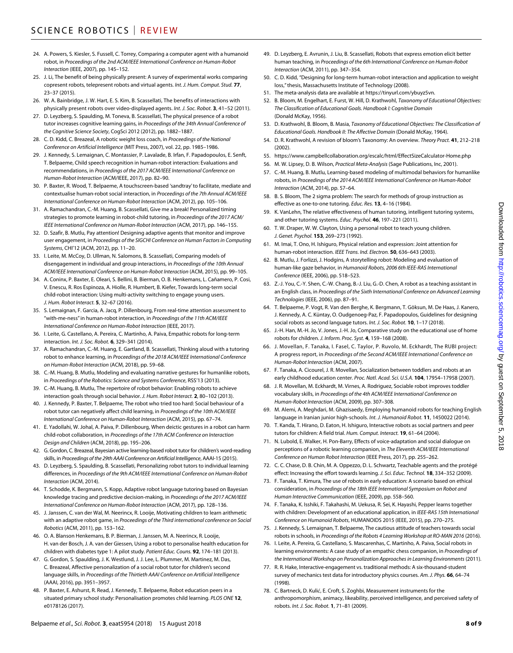- 24. A. Powers, S. Kiesler, S. Fussell, C. Torrey, Comparing a computer agent with a humanoid robot, in *Proceedings of the 2nd ACM/IEEE International Conference on Human-Robot Interaction* (IEEE, 2007), pp. 145–152.
- 25. J. Li, The benefit of being physically present: A survey of experimental works comparing copresent robots, telepresent robots and virtual agents. *Int. J. Hum. Comput. Stud.* **77**, 23–37 (2015).
- 26. W. A. Bainbridge, J. W. Hart, E. S. Kim, B. Scassellati, The benefits of interactions with physically present robots over video-displayed agents. *Int. J. Soc. Robot.* **3**, 41–52 (2011).
- 27. D. Leyzberg, S. Spaulding, M. Toneva, B. Scassellati, The physical presence of a robot tutor increases cognitive learning gains, in *Proceedings of the 34th Annual Conference of the Cognitive Science Society*, CogSci 2012 (2012), pp. 1882–1887.
- 28. C. D. Kidd, C. Breazeal, A robotic weight loss coach, in *Proceedings of the National Conference on Artificial Intelligence* (MIT Press, 2007), vol. 22, pp. 1985–1986.
- 29. J. Kennedy, S. Lemaignan, C. Montassier, P. Lavalade, B. Irfan, F. Papadopoulos, E. Senft, T. Belpaeme, Child speech recognition in human-robot interaction: Evaluations and recommendations, in *Proceedings of the 2017 ACM/IEEE International Conference on Human-Robot Interaction* (ACM/IEEE, 2017), pp. 82–90.
- 30. P. Baxter, R. Wood, T. Belpaeme, A touchscreen-based 'sandtray' to facilitate, mediate and contextualise human-robot social interaction, in *Proceedings of the 7th Annual ACM/IEEE International Conference on Human-Robot Interaction* (ACM, 2012), pp. 105–106.
- 31. A. Ramachandran, C.-M. Huang, B. Scassellati, Give me a break! Personalized timing strategies to promote learning in robot-child tutoring, in *Proceedings of the 2017 ACM/ IEEE International Conference on Human-Robot Interaction* (ACM, 2017), pp. 146–155.
- 32. D. Szafir, B. Mutlu, Pay attention! Designing adaptive agents that monitor and improve user engagement, in *Proceedings of the SIGCHI Conference on Human Factors in Computing Systems*, CHI'12 (ACM, 2012), pp. 11–20.
- 33. I. Leite, M. McCoy, D. Ullman, N. Salomons, B. Scassellati, Comparing models of disengagement in individual and group interactions, in *Proceedings of the 10th Annual ACM/IEEE International Conference on Human-Robot Interaction* (ACM, 2015), pp. 99–105.
- 34. A. Coninx, P. Baxter, E. Oleari, S. Bellini, B. Bierman, O. B. Henkemans, L. Cañamero, P. Cosi, V. Enescu, R. Ros Espinoza, A. Hiolle, R. Humbert, B. Kiefer, Towards long-term social child-robot interaction: Using multi-activity switching to engage young users. *J. Hum. Robot Interact.* **5**, 32–67 (2016).
- 35. S. Lemaignan, F. Garcia, A. Jacq, P. Dillenbourg, From real-time attention assessment to "with-me-ness" in human-robot interaction, in *Proceedings of the 11th ACM/IEEE International Conference on Human-Robot Interaction* (IEEE, 2017).
- 36. I. Leite, G. Castellano, A. Pereira, C. Martinho, A. Paiva, Empathic robots for long-term interaction. *Int. J. Soc. Robot.* **6**, 329–341 (2014).
- 37. A. Ramachandran, C.-M. Huang, E. Gartland, B. Scassellati, Thinking aloud with a tutoring robot to enhance learning, in *Proceedings of the 2018 ACM/IEEE International Conference on Human-Robot Interaction* (ACM, 2018), pp. 59–68.
- 38. C.-M. Huang, B. Mutlu, Modeling and evaluating narrative gestures for humanlike robots, in *Proceedings of the Robotics: Science and Systems Conference*, RSS'13 (2013).
- 39. C.-M. Huang, B. Mutlu, The repertoire of robot behavior: Enabling robots to achieve interaction goals through social behavior. *J. Hum. Robot Interact.* **2**, 80–102 (2013).
- 40. J. Kennedy, P. Baxter, T. Belpaeme, The robot who tried too hard: Social behaviour of a robot tutor can negatively affect child learning, in *Proceedings of the 10th ACM/IEEE International Conference on Human-Robot Interaction* (ACM, 2015), pp. 67–74.
- 41. E. Yadollahi, W. Johal, A. Paiva, P. Dillenbourg, When deictic gestures in a robot can harm child-robot collaboration, in *Proceedings of the 17th ACM Conference on Interaction Design and Children* (ACM, 2018), pp. 195–206.
- 42. G. Gordon, C. Breazeal, Bayesian active learning-based robot tutor for children's word-reading skills, in *Proceedings of the 29th AAAI Conference on Artificial Intelligence*, AAAI-15 (2015).
- 43. D. Leyzberg, S. Spaulding, B. Scassellati, Personalizing robot tutors to individual learning differences, in *Proceedings of the 9th ACM/IEEE International Conference on Human-Robot Interaction* (ACM, 2014).
- 44. T. Schodde, K. Bergmann, S. Kopp, Adaptive robot language tutoring based on Bayesian knowledge tracing and predictive decision-making, in *Proceedings of the 2017 ACM/IEEE International Conference on Human-Robot Interaction* (ACM, 2017), pp. 128–136.
- 45. J. Janssen, C. van der Wal, M. Neerincx, R. Looije, Motivating children to learn arithmetic with an adaptive robot game, in *Proceedings of the Third international conference on Social Robotics* (ACM, 2011), pp. 153–162.
- 46. O. A. Blanson Henkemans, B. P. Bierman, J. Janssen, M. A. Neerincx, R. Looije, H. van der Bosch, J. A. van der Giessen, Using a robot to personalise health education for children with diabetes type 1: A pilot study. *Patient Educ. Couns.* **92**, 174–181 (2013).
- 47. G. Gordon, S. Spaulding, J. K. Westlund, J. J. Lee, L. Plummer, M. Martinez, M. Das, C. Breazeal, Affective personalization of a social robot tutor for children's second language skills, in *Proceedings of the Thirtieth AAAI Conference on Artificial Intelligence* (AAAI, 2016), pp. 3951–3957.
- 48. P. Baxter, E. Ashurst, R. Read, J. Kennedy, T. Belpaeme, Robot education peers in a situated primary school study: Personalisation promotes child learning. *PLOS ONE* **12**, e0178126 (2017).
- 49. D. Leyzberg, E. Avrunin, J. Liu, B. Scassellati, Robots that express emotion elicit better human teaching, in *Proceedings of the 6th International Conference on Human-Robot Interaction* (ACM, 2011), pp. 347–354.
- 50. C. D. Kidd, "Designing for long-term human-robot interaction and application to weight loss," thesis, Massachusetts Institute of Technology (2008).
- 51. The meta-analysis data are available at https://tinyurl.com/ybuyz5vn.
- 52. B. Bloom, M. Engelhart, E. Furst, W. Hill, D. Krathwohl, *Taxonomy of Educational Objectives: The Classification of Educational Goals. Handbook I: Cognitive Domain* (Donald McKay, 1956).
- 53. D. Krathwohl, B. Bloom, B. Masia, *Taxonomy of Educational Objectives: The Classification of Educational Goals. Handbook II: The Affective Domain* (Donald McKay, 1964).
- 54. D. R. Krathwohl, A revision of bloom's Taxonomy: An overview. *Theory Pract.* **41**, 212–218  $(2002)$
- 55. <https://www.campbellcollaboration.org/escalc/html/EffectSizeCalculator-Home.php>
- 56. M. W. Lipsey, D. B. Wilson, *Practical Meta-Analysis* (Sage Publications, Inc, 2001).
- 57. C.-M. Huang, B. Mutlu, Learning-based modeling of multimodal behaviors for humanlike robots, in *Proceedings of the 2014 ACM/IEEE International Conference on Human-Robot Interaction* (ACM, 2014), pp. 57–64.
- 58. B. S. Bloom, The 2 sigma problem: The search for methods of group instruction as effective as one-to-one tutoring. *Educ. Res.* **13**, 4–16 (1984).
- 59. K. VanLehn, The relative effectiveness of human tutoring, intelligent tutoring systems, and other tutoring systems. *Educ. Psychol.* **46**, 197–221 (2011).
- 60. T. W. Draper, W. W. Clayton, Using a personal robot to teach young children. *J. Genet. Psychol.* **153**, 269–273 (1992).
- 61. M. Imai, T. Ono, H. Ishiguro, Physical relation and expression: Joint attention for human-robot interaction. *IEEE Trans. Ind. Electron.* **50**, 636–643 (2003).
- 62. B. Mutlu, J. Forlizzi, J. Hodgins, A storytelling robot: Modeling and evaluation of human-like gaze behavior, in *Humanoid Robots, 2006 6th IEEE-RAS International Conference* (IEEE, 2006), pp. 518–523.
- 63. Z.-J. You, C.-Y. Shen, C.-W. Chang, B.-J. Liu, G.-D. Chen, A robot as a teaching assistant in an English class, in *Proceedings of the Sixth International Conference on Advanced Learning Technologies* (IEEE, 2006), pp. 87–91.
- 64. T. Belpaeme, P. Vogt, R. Van den Berghe, K. Bergmann, T. Göksun, M. De Haas, J. Kanero, J. Kennedy, A. C. Küntay, O. Oudgenoeg-Paz, F. Papadopoulos, Guidelines for designing social robots as second language tutors. *Int. J. Soc. Robot.* **10**, 1–17 (2018).
- 65. J.-H. Han, M.-H. Jo, V. Jones, J.-H. Jo, Comparative study on the educational use of home robots for children. *J. Inform. Proc. Syst.* **4**, 159–168 (2008).
- 66. J. Movellan, F. Tanaka, I. Fasel, C. Taylor, P. Ruvolo, M. Eckhardt, The RUBI project: A progress report, in *Proceedings of the Second ACM/IEEE International Conference on Human-Robot Interaction* (ACM, 2007).
- 67. F. Tanaka, A. Cicourel, J. R. Movellan, Socialization between toddlers and robots at an early childhood education center. *Proc. Natl. Acad. Sci. U.S.A.* **104**, 17954–17958 (2007).
- 68. J. R. Movellan, M. Eckhardt, M. Virnes, A. Rodriguez, Sociable robot improves toddler vocabulary skills, in *Proceedings of the 4th ACM/IEEE International Conference on Human-Robot Interaction* (ACM, 2009), pp. 307–308.
- 69. M. Alemi, A. Meghdari, M. Ghazisaedy, Employing humanoid robots for teaching English language in Iranian junior high-schools. *Int. J. Humanoid Robot.* **11**, 1450022 (2014).
- 70. T. Kanda, T. Hirano, D. Eaton, H. Ishiguro, Interactive robots as social partners and peer tutors for children: A field trial. *Hum. Comput. Interact.* **19**, 61–64 (2004).
- 71. N. Lubold, E. Walker, H. Pon-Barry, Effects of voice-adaptation and social dialogue on perceptions of a robotic learning companion, in *The Eleventh ACM/IEEE International Conference on Human Robot Interaction* (IEEE Press, 2017), pp. 255–262.
- 72. C. C. Chase, D. B. Chin, M. A. Oppezzo, D. L. Schwartz, Teachable agents and the protégé effect: Increasing the effort towards learning. *J. Sci. Educ. Technol.* **18**, 334–352 (2009).
- 73. F. Tanaka, T. Kimura, The use of robots in early education: A scenario based on ethical consideration, in *Proceedings of the 18th IEEE International Symposium on Robot and Human Interactive Communication* (IEEE, 2009), pp. 558–560.
- 74. F. Tanaka, K. Isshiki, F. Takahashi, M. Uekusa, R. Sei, K. Hayashi, Pepper learns together with children: Development of an educational application, in *IEEE-RAS 15th International Conference on Humanoid Robots*, HUMANOIDS 2015 (IEEE, 2015), pp. 270–275.
- 75. J. Kennedy, S. Lemaignan, T. Belpaeme, The cautious attitude of teachers towards social robots in schools, in *Proceedings of the Robots 4 Learning Workshop at RO-MAN 2016* (2016).
- 76. I. Leite, A. Pereira, G. Castellano, S. Mascarenhas, C. Martinho, A. Paiva, Social robots in learning environments: A case study of an empathic chess companion, in *Proceedings of the International Workshop on Personalization Approaches in Learning Environments* (2011).
- 77. R. R. Hake, Interactive-engagement vs. traditional methods: A six-thousand-student survey of mechanics test data for introductory physics courses. *Am. J. Phys.* **66**, 64–74 (1998).
- 78. C. Bartneck, D. Kulić, E. Croft, S. Zoghbi, Measurement instruments for the anthropomorphism, animacy, likeability, perceived intelligence, and perceived safety of robots. *Int. J. Soc. Robot.* **1**, 71–81 (2009).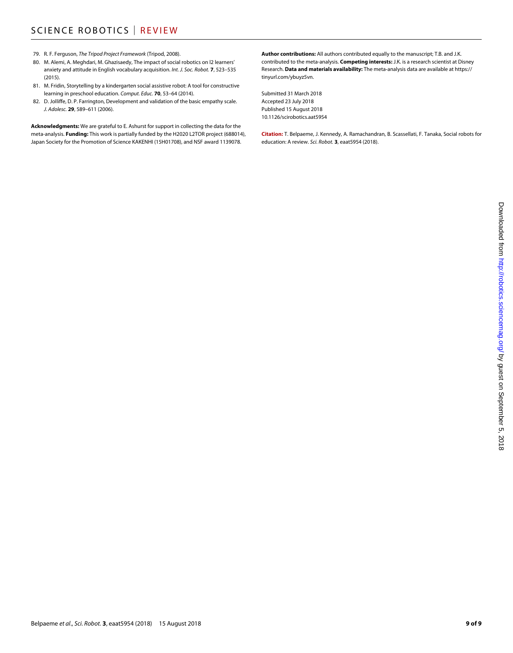- 79. R. F. Ferguson, *The Tripod Project Framework* (Tripod, 2008).
- 80. M. Alemi, A. Meghdari, M. Ghazisaedy, The impact of social robotics on l2 learners' anxiety and attitude in English vocabulary acquisition. *Int. J. Soc. Robot.* **7**, 523–535 (2015).
- 81. M. Fridin, Storytelling by a kindergarten social assistive robot: A tool for constructive learning in preschool education. *Comput. Educ.* **70**, 53–64 (2014).
- 82. D. Jolliffe, D. P. Farrington, Development and validation of the basic empathy scale. *J. Adolesc.* **29**, 589–611 (2006).

**Acknowledgments:** We are grateful to E. Ashurst for support in collecting the data for the meta-analysis. **Funding:** This work is partially funded by the H2020 L2TOR project (688014), Japan Society for the Promotion of Science KAKENHI (15H01708), and NSF award 1139078.

**Author contributions:** All authors contributed equally to the manuscript; T.B. and J.K. contributed to the meta-analysis. **Competing interests:** J.K. is a research scientist at Disney Research. **Data and materials availability:** The meta-analysis data are available at [https://](https://tinyurl.com/ybuyz5vn) [tinyurl.com/ybuyz5vn](https://tinyurl.com/ybuyz5vn).

Submitted 31 March 2018 Accepted 23 July 2018 Published 15 August 2018 10.1126/scirobotics.aat5954

**Citation:** T. Belpaeme, J. Kennedy, A. Ramachandran, B. Scassellati, F. Tanaka, Social robots for education: A review. *Sci. Robot.* **3**, eaat5954 (2018).